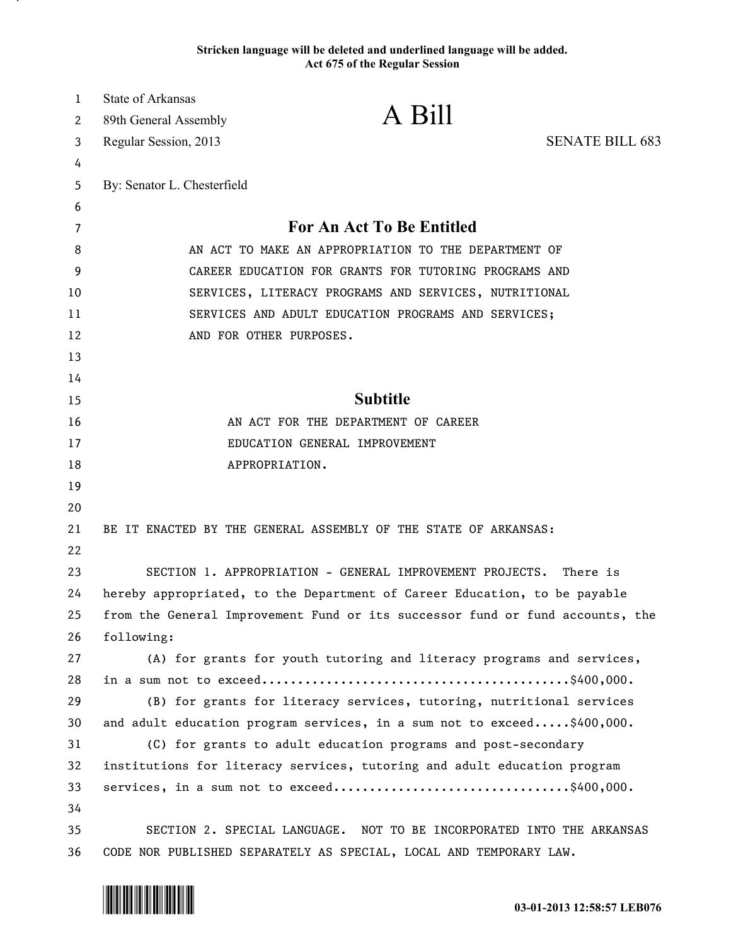## **Stricken language will be deleted and underlined language will be added. Act 675 of the Regular Session**

| $\mathbf{1}$ | State of Arkansas           |                                                                               |                        |
|--------------|-----------------------------|-------------------------------------------------------------------------------|------------------------|
| 2            | 89th General Assembly       | A Bill                                                                        |                        |
| 3            | Regular Session, 2013       |                                                                               | <b>SENATE BILL 683</b> |
| 4            |                             |                                                                               |                        |
| 5            | By: Senator L. Chesterfield |                                                                               |                        |
| 6            |                             |                                                                               |                        |
| 7            |                             | For An Act To Be Entitled                                                     |                        |
| 8            |                             | AN ACT TO MAKE AN APPROPRIATION TO THE DEPARTMENT OF                          |                        |
| 9            |                             | CAREER EDUCATION FOR GRANTS FOR TUTORING PROGRAMS AND                         |                        |
| 10           |                             | SERVICES, LITERACY PROGRAMS AND SERVICES, NUTRITIONAL                         |                        |
| 11           |                             | SERVICES AND ADULT EDUCATION PROGRAMS AND SERVICES;                           |                        |
| 12           | AND FOR OTHER PURPOSES.     |                                                                               |                        |
| 13           |                             |                                                                               |                        |
| 14           |                             |                                                                               |                        |
| 15           |                             | <b>Subtitle</b>                                                               |                        |
| 16           |                             | AN ACT FOR THE DEPARTMENT OF CAREER                                           |                        |
| 17           |                             | EDUCATION GENERAL IMPROVEMENT                                                 |                        |
| 18           | APPROPRIATION.              |                                                                               |                        |
| 19           |                             |                                                                               |                        |
| 20           |                             |                                                                               |                        |
| 21           |                             | BE IT ENACTED BY THE GENERAL ASSEMBLY OF THE STATE OF ARKANSAS:               |                        |
| 22           |                             |                                                                               |                        |
| 23           |                             | SECTION 1. APPROPRIATION - GENERAL IMPROVEMENT PROJECTS.                      | There is               |
| 24           |                             | hereby appropriated, to the Department of Career Education, to be payable     |                        |
| 25           |                             | from the General Improvement Fund or its successor fund or fund accounts, the |                        |
| 26           | following:                  |                                                                               |                        |
| 27           |                             | (A) for grants for youth tutoring and literacy programs and services,         |                        |
| 28           |                             |                                                                               |                        |
| 29           |                             | (B) for grants for literacy services, tutoring, nutritional services          |                        |
| 30           |                             | and adult education program services, in a sum not to exceed\$400,000.        |                        |
| 31           |                             | (C) for grants to adult education programs and post-secondary                 |                        |
| 32           |                             | institutions for literacy services, tutoring and adult education program      |                        |
| 33           |                             | services, in a sum not to exceed\$400,000.                                    |                        |
| 34           |                             |                                                                               |                        |
| 35           |                             | SECTION 2. SPECIAL LANGUAGE. NOT TO BE INCORPORATED INTO THE ARKANSAS         |                        |
| 36           |                             | CODE NOR PUBLISHED SEPARATELY AS SPECIAL, LOCAL AND TEMPORARY LAW.            |                        |



.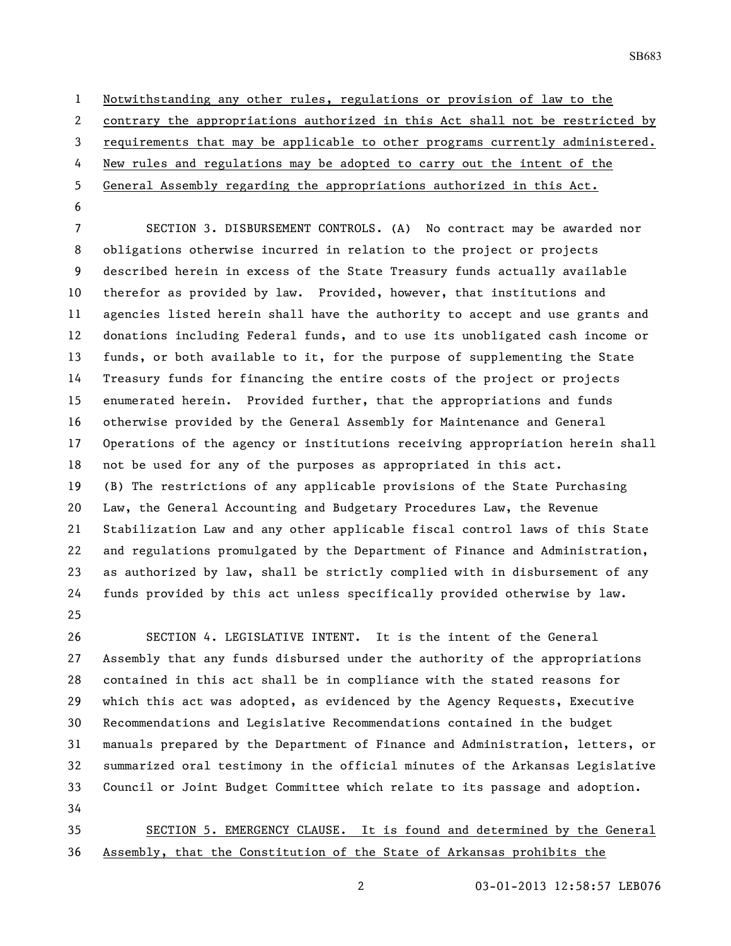Notwithstanding any other rules, regulations or provision of law to the contrary the appropriations authorized in this Act shall not be restricted by requirements that may be applicable to other programs currently administered. New rules and regulations may be adopted to carry out the intent of the General Assembly regarding the appropriations authorized in this Act.

 SECTION 3. DISBURSEMENT CONTROLS. (A) No contract may be awarded nor obligations otherwise incurred in relation to the project or projects described herein in excess of the State Treasury funds actually available therefor as provided by law. Provided, however, that institutions and agencies listed herein shall have the authority to accept and use grants and donations including Federal funds, and to use its unobligated cash income or funds, or both available to it, for the purpose of supplementing the State Treasury funds for financing the entire costs of the project or projects enumerated herein. Provided further, that the appropriations and funds otherwise provided by the General Assembly for Maintenance and General Operations of the agency or institutions receiving appropriation herein shall not be used for any of the purposes as appropriated in this act. (B) The restrictions of any applicable provisions of the State Purchasing Law, the General Accounting and Budgetary Procedures Law, the Revenue Stabilization Law and any other applicable fiscal control laws of this State and regulations promulgated by the Department of Finance and Administration, as authorized by law, shall be strictly complied with in disbursement of any funds provided by this act unless specifically provided otherwise by law. 

 SECTION 4. LEGISLATIVE INTENT. It is the intent of the General Assembly that any funds disbursed under the authority of the appropriations contained in this act shall be in compliance with the stated reasons for which this act was adopted, as evidenced by the Agency Requests, Executive Recommendations and Legislative Recommendations contained in the budget manuals prepared by the Department of Finance and Administration, letters, or summarized oral testimony in the official minutes of the Arkansas Legislative Council or Joint Budget Committee which relate to its passage and adoption. 

 SECTION 5. EMERGENCY CLAUSE. It is found and determined by the General Assembly, that the Constitution of the State of Arkansas prohibits the